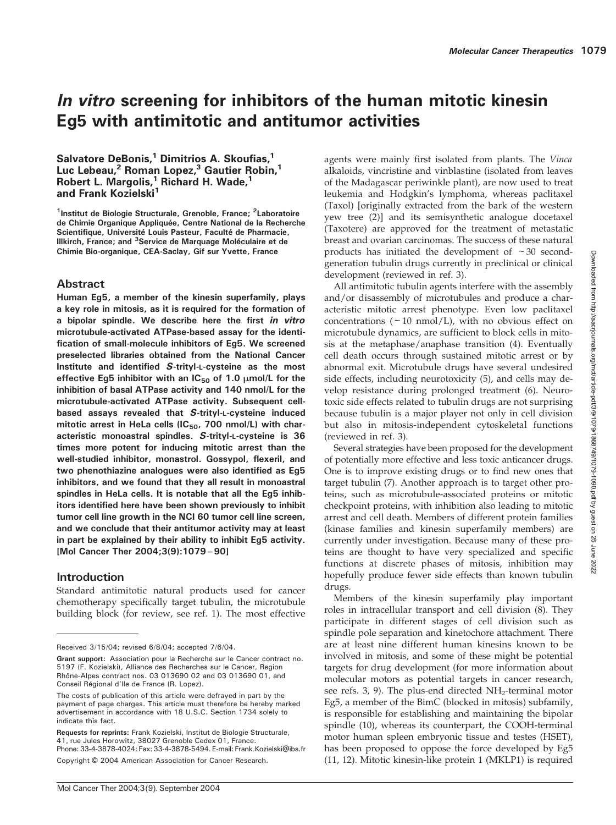# In vitro screening for inhibitors of the human mitotic kinesin Eg5 with antimitotic and antitumor activities

Salvatore DeBonis, $1$  Dimitrios A. Skoufias, $1$ Luc Lebeau,<sup>2</sup> Roman Lopez,<sup>3</sup> Gautier Robin,<sup>1</sup> Robert L. Margolis,<sup>1</sup> Richard H. Wade,<sup>1</sup> and Frank Kozielski<sup>1</sup>

<sup>1</sup>Institut de Biologie Structurale, Grenoble, France; <sup>2</sup>Laboratoire de Chimie Organique Appliquée, Centre National de la Recherche Scientifique, Université Louis Pasteur, Faculté de Pharmacie, Illkirch, France; and <sup>3</sup>Service de Marquage Moléculaire et de Chimie Bio-organique, CEA-Saclay, Gif sur Yvette, France

# Abstract

Human Eg5, a member of the kinesin superfamily, plays a key role in mitosis, as it is required for the formation of a bipolar spindle. We describe here the first in vitro microtubule-activated ATPase-based assay for the identification of small-molecule inhibitors of Eg5. We screened preselected libraries obtained from the National Cancer Institute and identified S-trityl-L-cysteine as the most effective Eg5 inhibitor with an  $IC_{50}$  of 1.0  $\mu$ mol/L for the inhibition of basal ATPase activity and 140 nmol/L for the microtubule-activated ATPase activity. Subsequent cellbased assays revealed that S-trityl-L-cysteine induced mitotic arrest in HeLa cells (IC $_{50}$ , 700 nmol/L) with characteristic monoastral spindles. S-trityl-L-cysteine is 36 times more potent for inducing mitotic arrest than the well-studied inhibitor, monastrol. Gossypol, flexeril, and two phenothiazine analogues were also identified as Eg5 inhibitors, and we found that they all result in monoastral spindles in HeLa cells. It is notable that all the Eg5 inhibitors identified here have been shown previously to inhibit tumor cell line growth in the NCI 60 tumor cell line screen, and we conclude that their antitumor activity may at least in part be explained by their ability to inhibit Eg5 activity. [Mol Cancer Ther 2004;3(9):1079–90]

# **Introduction**

Standard antimitotic natural products used for cancer chemotherapy specifically target tubulin, the microtubule building block (for review, see ref. 1). The most effective

Requests for reprints: Frank Kozielski, Institut de Biologie Structurale, 41, rue Jules Horowitz, 38027 Grenoble Cedex 01, France. Phone: 33-4-3878-4024; Fax: 33-4-3878-5494. E-mail: Frank.Kozielski@ibs.fr

Copyright © 2004 American Association for Cancer Research.

agents were mainly first isolated from plants. The Vinca alkaloids, vincristine and vinblastine (isolated from leaves of the Madagascar periwinkle plant), are now used to treat leukemia and Hodgkin's lymphoma, whereas paclitaxel (Taxol) [originally extracted from the bark of the western yew tree (2)] and its semisynthetic analogue docetaxel (Taxotere) are approved for the treatment of metastatic breast and ovarian carcinomas. The success of these natural products has initiated the development of  $\sim$  30 secondgeneration tubulin drugs currently in preclinical or clinical development (reviewed in ref. 3).

All antimitotic tubulin agents interfere with the assembly and/or disassembly of microtubules and produce a characteristic mitotic arrest phenotype. Even low paclitaxel concentrations  $(\sim 10 \text{ nmol/L})$ , with no obvious effect on microtubule dynamics, are sufficient to block cells in mitosis at the metaphase/anaphase transition (4). Eventually cell death occurs through sustained mitotic arrest or by abnormal exit. Microtubule drugs have several undesired side effects, including neurotoxicity (5), and cells may develop resistance during prolonged treatment (6). Neurotoxic side effects related to tubulin drugs are not surprising because tubulin is a major player not only in cell division but also in mitosis-independent cytoskeletal functions (reviewed in ref. 3).

Several strategies have been proposed for the development of potentially more effective and less toxic anticancer drugs. One is to improve existing drugs or to find new ones that target tubulin (7). Another approach is to target other proteins, such as microtubule-associated proteins or mitotic checkpoint proteins, with inhibition also leading to mitotic arrest and cell death. Members of different protein families (kinase families and kinesin superfamily members) are currently under investigation. Because many of these proteins are thought to have very specialized and specific functions at discrete phases of mitosis, inhibition may hopefully produce fewer side effects than known tubulin drugs.

Members of the kinesin superfamily play important roles in intracellular transport and cell division (8). They participate in different stages of cell division such as spindle pole separation and kinetochore attachment. There are at least nine different human kinesins known to be involved in mitosis, and some of these might be potential targets for drug development (for more information about molecular motors as potential targets in cancer research, see refs.  $3$ , 9). The plus-end directed  $NH<sub>2</sub>$ -terminal motor Eg5, a member of the BimC (blocked in mitosis) subfamily, is responsible for establishing and maintaining the bipolar spindle (10), whereas its counterpart, the COOH-terminal motor human spleen embryonic tissue and testes (HSET), has been proposed to oppose the force developed by Eg5 (11, 12). Mitotic kinesin-like protein 1 (MKLP1) is required

Received 3/15/04; revised 6/8/04; accepted 7/6/04.

Grant support: Association pour la Recherche sur le Cancer contract no. 5197 (F. Kozielski), Alliance des Recherches sur le Cancer, Region Rhône-Alpes contract nos. 03 013690 02 and 03 013690 01, and Conseil Régional d'Ile de France (R. Lopez).

The costs of publication of this article were defrayed in part by the payment of page charges. This article must therefore be hereby marked advertisement in accordance with 18 U.S.C. Section 1734 solely to indicate this fact.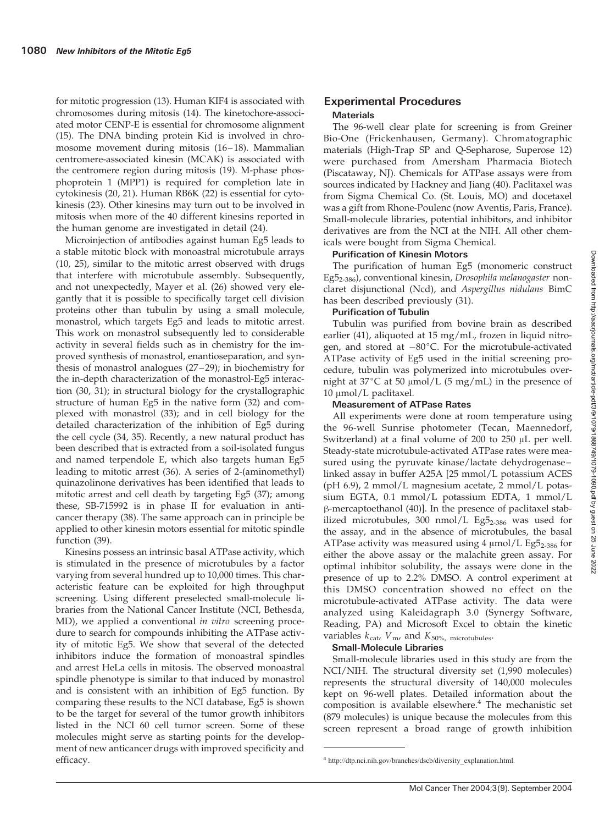for mitotic progression (13). Human KIF4 is associated with chromosomes during mitosis (14). The kinetochore-associated motor CENP-E is essential for chromosome alignment (15). The DNA binding protein Kid is involved in chromosome movement during mitosis (16–18). Mammalian centromere-associated kinesin (MCAK) is associated with the centromere region during mitosis (19). M-phase phosphoprotein 1 (MPP1) is required for completion late in cytokinesis (20, 21). Human RB6K (22) is essential for cytokinesis (23). Other kinesins may turn out to be involved in mitosis when more of the 40 different kinesins reported in the human genome are investigated in detail (24).

Microinjection of antibodies against human Eg5 leads to a stable mitotic block with monoastral microtubule arrays (10, 25), similar to the mitotic arrest observed with drugs that interfere with microtubule assembly. Subsequently, and not unexpectedly, Mayer et al. (26) showed very elegantly that it is possible to specifically target cell division proteins other than tubulin by using a small molecule, monastrol, which targets Eg5 and leads to mitotic arrest. This work on monastrol subsequently led to considerable activity in several fields such as in chemistry for the improved synthesis of monastrol, enantioseparation, and synthesis of monastrol analogues (27–29); in biochemistry for the in-depth characterization of the monastrol-Eg5 interaction (30, 31); in structural biology for the crystallographic structure of human Eg5 in the native form (32) and complexed with monastrol (33); and in cell biology for the detailed characterization of the inhibition of Eg5 during the cell cycle (34, 35). Recently, a new natural product has been described that is extracted from a soil-isolated fungus and named terpendole E, which also targets human Eg5 leading to mitotic arrest (36). A series of 2-(aminomethyl) quinazolinone derivatives has been identified that leads to mitotic arrest and cell death by targeting Eg5 (37); among these, SB-715992 is in phase II for evaluation in anticancer therapy (38). The same approach can in principle be applied to other kinesin motors essential for mitotic spindle function (39).

Kinesins possess an intrinsic basal ATPase activity, which is stimulated in the presence of microtubules by a factor varying from several hundred up to 10,000 times. This characteristic feature can be exploited for high throughput screening. Using different preselected small-molecule libraries from the National Cancer Institute (NCI, Bethesda, MD), we applied a conventional *in vitro* screening procedure to search for compounds inhibiting the ATPase activity of mitotic Eg5. We show that several of the detected inhibitors induce the formation of monoastral spindles and arrest HeLa cells in mitosis. The observed monoastral spindle phenotype is similar to that induced by monastrol and is consistent with an inhibition of Eg5 function. By comparing these results to the NCI database, Eg5 is shown to be the target for several of the tumor growth inhibitors listed in the NCI 60 cell tumor screen. Some of these molecules might serve as starting points for the development of new anticancer drugs with improved specificity and efficacy.

# Experimental Procedures **Materials**

The 96-well clear plate for screening is from Greiner Bio-One (Frickenhausen, Germany). Chromatographic materials (High-Trap SP and Q-Sepharose, Superose 12) were purchased from Amersham Pharmacia Biotech (Piscataway, NJ). Chemicals for ATPase assays were from sources indicated by Hackney and Jiang (40). Paclitaxel was from Sigma Chemical Co. (St. Louis, MO) and docetaxel was a gift from Rhone-Poulenc (now Aventis, Paris, France). Small-molecule libraries, potential inhibitors, and inhibitor derivatives are from the NCI at the NIH. All other chemicals were bought from Sigma Chemical.

# Purification of Kinesin Motors

The purification of human Eg5 (monomeric construct Eg52-386), conventional kinesin, Drosophila melanogaster nonclaret disjunctional (Ncd), and Aspergillus nidulans BimC has been described previously (31).

## Purification of Tubulin

Tubulin was purified from bovine brain as described earlier (41), aliquoted at 15 mg/mL, frozen in liquid nitrogen, and stored at  $-80^{\circ}$ C. For the microtubule-activated ATPase activity of Eg5 used in the initial screening procedure, tubulin was polymerized into microtubules overnight at  $37^{\circ}$ C at 50  $\mu$ mol/L (5 mg/mL) in the presence of  $10 \mu$ mol/L paclitaxel.

# Measurement of ATPase Rates

All experiments were done at room temperature using the 96-well Sunrise photometer (Tecan, Maennedorf, Switzerland) at a final volume of  $200$  to  $250 \mu L$  per well. Steady-state microtubule-activated ATPase rates were measured using the pyruvate kinase/lactate dehydrogenase– linked assay in buffer A25A [25 mmol/L potassium ACES (pH 6.9), 2 mmol/L magnesium acetate, 2 mmol/L potassium EGTA, 0.1 mmol/L potassium EDTA, 1 mmol/L  $\beta$ -mercaptoethanol (40)]. In the presence of paclitaxel stabilized microtubules, 300 nmol/L Eg $5_{2-386}$  was used for the assay, and in the absence of microtubules, the basal ATPase activity was measured using  $4 \mu$ mol/L Eg5<sub>2-386</sub> for either the above assay or the malachite green assay. For optimal inhibitor solubility, the assays were done in the presence of up to 2.2% DMSO. A control experiment at this DMSO concentration showed no effect on the microtubule-activated ATPase activity. The data were analyzed using Kaleidagraph 3.0 (Synergy Software, Reading, PA) and Microsoft Excel to obtain the kinetic variables  $k_{\text{cat}}$ ,  $V_{\text{m}}$ , and  $K_{50\%}$ , microtubules.

#### Small-Molecule Libraries

Small-molecule libraries used in this study are from the NCI/NIH. The structural diversity set (1,990 molecules) represents the structural diversity of 140,000 molecules kept on 96-well plates. Detailed information about the composition is available elsewhere.<sup>4</sup> The mechanistic set (879 molecules) is unique because the molecules from this screen represent a broad range of growth inhibition

<sup>4</sup> http://dtp.nci.nih.gov/branches/dscb/diversity\_explanation.html.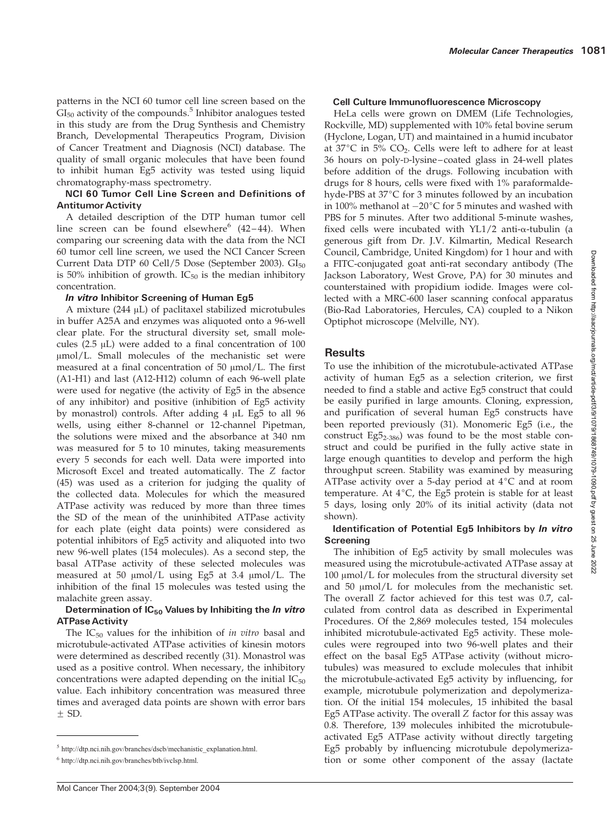patterns in the NCI 60 tumor cell line screen based on the  $GI<sub>50</sub>$  activity of the compounds.<sup>5</sup> Inhibitor analogues tested in this study are from the Drug Synthesis and Chemistry Branch, Developmental Therapeutics Program, Division of Cancer Treatment and Diagnosis (NCI) database. The quality of small organic molecules that have been found to inhibit human Eg5 activity was tested using liquid chromatography-mass spectrometry.

## NCI 60 Tumor Cell Line Screen and Definitions of Antitumor Activity

A detailed description of the DTP human tumor cell line screen can be found elsewhere<sup>6</sup>  $(42-44)$ . When comparing our screening data with the data from the NCI 60 tumor cell line screen, we used the NCI Cancer Screen Current Data DTP 60 Cell/5 Dose (September 2003).  $GI_{50}$ is 50% inhibition of growth.  $IC_{50}$  is the median inhibitory concentration.

# In vitro Inhibitor Screening of Human Eg5

A mixture  $(244 \mu L)$  of paclitaxel stabilized microtubules in buffer A25A and enzymes was aliquoted onto a 96-well clear plate. For the structural diversity set, small molecules ( $2.5 \mu L$ ) were added to a final concentration of  $100$  $\mu$ mol/L. Small molecules of the mechanistic set were measured at a final concentration of 50  $\mu$ mol/L. The first (A1-H1) and last (A12-H12) column of each 96-well plate were used for negative (the activity of Eg5 in the absence of any inhibitor) and positive (inhibition of Eg5 activity by monastrol) controls. After adding  $4 \mu L$  Eg5 to all  $96$ wells, using either 8-channel or 12-channel Pipetman, the solutions were mixed and the absorbance at 340 nm was measured for 5 to 10 minutes, taking measurements every 5 seconds for each well. Data were imported into Microsoft Excel and treated automatically. The Z factor (45) was used as a criterion for judging the quality of the collected data. Molecules for which the measured ATPase activity was reduced by more than three times the SD of the mean of the uninhibited ATPase activity for each plate (eight data points) were considered as potential inhibitors of Eg5 activity and aliquoted into two new 96-well plates (154 molecules). As a second step, the basal ATPase activity of these selected molecules was measured at 50  $\mu$ mol/L using Eg5 at 3.4  $\mu$ mol/L. The inhibition of the final 15 molecules was tested using the malachite green assay.

# Determination of  $IC_{50}$  Values by Inhibiting the *In vitro* ATPase Activity

The  $IC_{50}$  values for the inhibition of in vitro basal and microtubule-activated ATPase activities of kinesin motors were determined as described recently (31). Monastrol was used as a positive control. When necessary, the inhibitory concentrations were adapted depending on the initial  $IC_{50}$ value. Each inhibitory concentration was measured three times and averaged data points are shown with error bars  $\pm$  SD.

# Cell Culture Immunofluorescence Microscopy

HeLa cells were grown on DMEM (Life Technologies, Rockville, MD) supplemented with 10% fetal bovine serum (Hyclone, Logan, UT) and maintained in a humid incubator at  $37^{\circ}$ C in 5% CO<sub>2</sub>. Cells were left to adhere for at least 36 hours on poly-D-lysine–coated glass in 24-well plates before addition of the drugs. Following incubation with drugs for 8 hours, cells were fixed with 1% paraformaldehyde-PBS at 37°C for 3 minutes followed by an incubation in 100% methanol at  $-20^{\circ}$ C for 5 minutes and washed with PBS for 5 minutes. After two additional 5-minute washes, fixed cells were incubated with  $YL1/2$  anti- $\alpha$ -tubulin (a generous gift from Dr. J.V. Kilmartin, Medical Research Council, Cambridge, United Kingdom) for 1 hour and with a FITC-conjugated goat anti-rat secondary antibody (The Jackson Laboratory, West Grove, PA) for 30 minutes and counterstained with propidium iodide. Images were collected with a MRC-600 laser scanning confocal apparatus (Bio-Rad Laboratories, Hercules, CA) coupled to a Nikon Optiphot microscope (Melville, NY).

# **Results**

To use the inhibition of the microtubule-activated ATPase activity of human Eg5 as a selection criterion, we first needed to find a stable and active Eg5 construct that could be easily purified in large amounts. Cloning, expression, and purification of several human Eg5 constructs have been reported previously (31). Monomeric Eg5 (i.e., the construct  $Eg5_{2-386}$ ) was found to be the most stable construct and could be purified in the fully active state in large enough quantities to develop and perform the high throughput screen. Stability was examined by measuring ATPase activity over a 5-day period at  $4^{\circ}$ C and at room temperature. At  $4^{\circ}$ C, the Eg5 protein is stable for at least 5 days, losing only 20% of its initial activity (data not shown).

# Identification of Potential Eg5 Inhibitors by *In vitro* Screening

The inhibition of Eg5 activity by small molecules was measured using the microtubule-activated ATPase assay at  $100 \mu$ mol/L for molecules from the structural diversity set and  $50 \mu \text{mol/L}$  for molecules from the mechanistic set. The overall Z factor achieved for this test was 0.7, calculated from control data as described in Experimental Procedures. Of the 2,869 molecules tested, 154 molecules inhibited microtubule-activated Eg5 activity. These molecules were regrouped into two 96-well plates and their effect on the basal Eg5 ATPase activity (without microtubules) was measured to exclude molecules that inhibit the microtubule-activated Eg5 activity by influencing, for example, microtubule polymerization and depolymerization. Of the initial 154 molecules, 15 inhibited the basal Eg5 ATPase activity. The overall Z factor for this assay was 0.8. Therefore, 139 molecules inhibited the microtubuleactivated Eg5 ATPase activity without directly targeting Eg5 probably by influencing microtubule depolymeriza-<sup>6</sup> http://dtp.nci.nih.gov/branches/btb/ivclsp.html. **http://dtp.nci.nih.gov/branches/btb/ivclsp.html. tion** or some other component of the assay (lactate

<sup>5</sup> http://dtp.nci.nih.gov/branches/dscb/mechanistic\_explanation.html.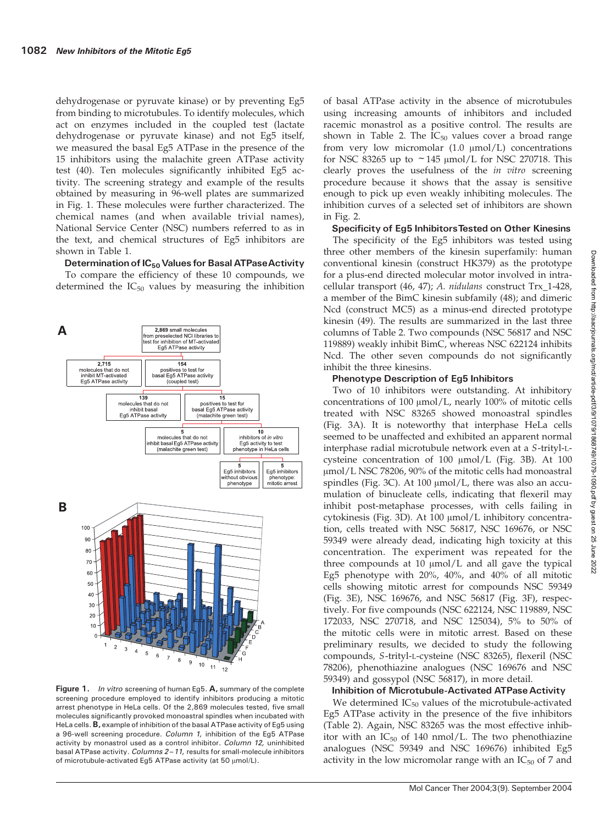dehydrogenase or pyruvate kinase) or by preventing Eg5 from binding to microtubules. To identify molecules, which act on enzymes included in the coupled test (lactate dehydrogenase or pyruvate kinase) and not Eg5 itself, we measured the basal Eg5 ATPase in the presence of the 15 inhibitors using the malachite green ATPase activity test (40). Ten molecules significantly inhibited Eg5 activity. The screening strategy and example of the results obtained by measuring in 96-well plates are summarized in Fig. 1. These molecules were further characterized. The chemical names (and when available trivial names), National Service Center (NSC) numbers referred to as in the text, and chemical structures of Eg5 inhibitors are shown in Table 1.

# Determination of  $IC_{50}$  Values for Basal ATPase Activity

To compare the efficiency of these 10 compounds, we determined the  $IC_{50}$  values by measuring the inhibition



Figure 1. In vitro screening of human Eg5. A, summary of the complete screening procedure employed to identify inhibitors producing a mitotic arrest phenotype in HeLa cells. Of the 2,869 molecules tested, five small molecules significantly provoked monoastral spindles when incubated with HeLa cells. **B**, example of inhibition of the basal ATPase activity of Eg5 using a 96-well screening procedure. Column 1, inhibition of the Eg5 ATPase activity by monastrol used as a control inhibitor. Column 12, uninhibited basal ATPase activity. Columns 2-11, results for small-molecule inhibitors of microtubule-activated Eg5 ATPase activity (at 50  $\mu$ mol/L).

of basal ATPase activity in the absence of microtubules using increasing amounts of inhibitors and included racemic monastrol as a positive control. The results are shown in Table 2. The  $IC_{50}$  values cover a broad range from very low micromolar  $(1.0 \text{ }\mu\text{mol/L})$  concentrations for NSC 83265 up to  $\sim$  145  $\mu$ mol/L for NSC 270718. This clearly proves the usefulness of the in vitro screening procedure because it shows that the assay is sensitive enough to pick up even weakly inhibiting molecules. The inhibition curves of a selected set of inhibitors are shown in Fig. 2.

## Specificity of Eg5 InhibitorsTested on Other Kinesins

The specificity of the Eg5 inhibitors was tested using three other members of the kinesin superfamily: human conventional kinesin (construct HK379) as the prototype for a plus-end directed molecular motor involved in intracellular transport (46, 47); A. nidulans construct Trx\_1-428, a member of the BimC kinesin subfamily (48); and dimeric Ncd (construct MC5) as a minus-end directed prototype kinesin (49). The results are summarized in the last three columns of Table 2. Two compounds (NSC 56817 and NSC 119889) weakly inhibit BimC, whereas NSC 622124 inhibits Ncd. The other seven compounds do not significantly inhibit the three kinesins.

#### Phenotype Description of Eg5 Inhibitors

Two of 10 inhibitors were outstanding. At inhibitory concentrations of 100  $\mu$ mol/L, nearly 100% of mitotic cells treated with NSC 83265 showed monoastral spindles (Fig. 3A). It is noteworthy that interphase HeLa cells seemed to be unaffected and exhibited an apparent normal interphase radial microtubule network even at a S-trityl-Lcysteine concentration of  $100 \text{ }\mu\text{mol/L}$  (Fig. 3B). At  $100$  $\mu$ mol/L NSC 78206, 90% of the mitotic cells had monoastral spindles (Fig. 3C). At 100  $\mu$ mol/L, there was also an accumulation of binucleate cells, indicating that flexeril may inhibit post-metaphase processes, with cells failing in cytokinesis (Fig. 3D). At 100 µmol/L inhibitory concentration, cells treated with NSC 56817, NSC 169676, or NSC 59349 were already dead, indicating high toxicity at this concentration. The experiment was repeated for the three compounds at  $10 \mu$ mol/L and all gave the typical Eg5 phenotype with 20%, 40%, and 40% of all mitotic cells showing mitotic arrest for compounds NSC 59349 (Fig. 3E), NSC 169676, and NSC 56817 (Fig. 3F), respectively. For five compounds (NSC 622124, NSC 119889, NSC 172033, NSC 270718, and NSC 125034), 5% to 50% of the mitotic cells were in mitotic arrest. Based on these preliminary results, we decided to study the following compounds, S-trityl-L-cysteine (NSC 83265), flexeril (NSC 78206), phenothiazine analogues (NSC 169676 and NSC 59349) and gossypol (NSC 56817), in more detail.

## Inhibition of Microtubule-Activated ATPase Activity

We determined  $IC_{50}$  values of the microtubule-activated Eg5 ATPase activity in the presence of the five inhibitors (Table 2). Again, NSC 83265 was the most effective inhibitor with an  $IC_{50}$  of 140 nmol/L. The two phenothiazine analogues (NSC 59349 and NSC 169676) inhibited Eg5 activity in the low micromolar range with an  $IC_{50}$  of 7 and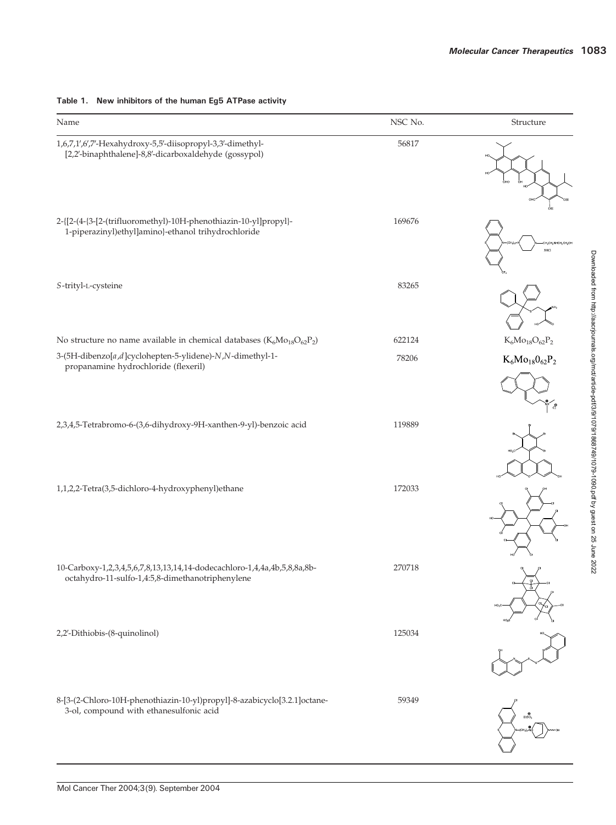| Name                                                                                                                         | NSC No. | Structure                 |
|------------------------------------------------------------------------------------------------------------------------------|---------|---------------------------|
| 1,6,7,1',6',7'-Hexahydroxy-5,5'-diisopropyl-3,3'-dimethyl-<br>[2,2'-binaphthalene]-8,8'-dicarboxaldehyde (gossypol)          | 56817   |                           |
| 2-{[2-(4-{3-[2-(trifluoromethyl)-10H-phenothiazin-10-yl]propyl}-<br>1-piperazinyl)ethyl]amino}-ethanol trihydrochloride      | 169676  | зно                       |
| S-trityl-L-cysteine                                                                                                          | 83265   |                           |
| No structure no name available in chemical databases ( $K_6Mo_{18}O_{62}P_2$ )                                               | 622124  | $\rm K_6Mo_{18}O_{62}P_2$ |
| 3-(5H-dibenzo[a,d]cyclohepten-5-ylidene)-N,N-dimethyl-1-<br>propanamine hydrochloride (flexeril)                             | 78206   | $K_6Mo_{18}O_{62}P_2$     |
| 2,3,4,5-Tetrabromo-6-(3,6-dihydroxy-9H-xanthen-9-yl)-benzoic acid                                                            | 119889  |                           |
| 1,1,2,2-Tetra(3,5-dichloro-4-hydroxyphenyl)ethane                                                                            | 172033  |                           |
| 10-Carboxy-1,2,3,4,5,6,7,8,13,13,14,14-dodecachloro-1,4,4a,4b,5,8,8a,8b-<br>octahydro-11-sulfo-1,4:5,8-dimethanotriphenylene | 270718  |                           |
| 2,2'-Dithiobis-(8-quinolinol)                                                                                                | 125034  |                           |
| 8-[3-(2-Chloro-10H-phenothiazin-10-yl)propyl]-8-azabicyclo[3.2.1]octane-<br>3-ol, compound with ethanesulfonic acid          | 59349   |                           |

# Table 1. New inhibitors of the human Eg5 ATPase activity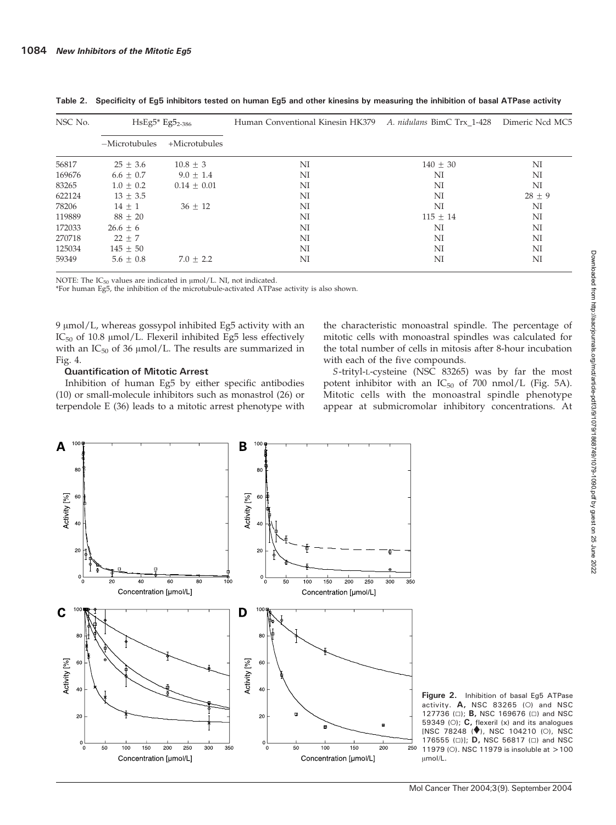| NSC No. | $HSEg5* Eg5_{2-386}$ |                  | Human Conventional Kinesin HK379 A. nidulans BimC Trx 1-428 |            | Dimeric Ncd MC5 |
|---------|----------------------|------------------|-------------------------------------------------------------|------------|-----------------|
|         | $-Microtubules$      | $+$ Microtubules |                                                             |            |                 |
| 56817   | $25 \pm 3.6$         | $10.8 \pm 3$     | NI                                                          | $140 + 30$ | NI              |
| 169676  | $6.6 \pm 0.7$        | $9.0 + 1.4$      | NI                                                          | NI         | NI              |
| 83265   | $1.0 \pm 0.2$        | $0.14 + 0.01$    | NI                                                          | NI         | NI              |
| 622124  | $13 + 3.5$           |                  | NI                                                          | NI         | $28 + 9$        |
| 78206   | $14 + 1$             | $36 + 12$        | NI                                                          | NI         | NI              |
| 119889  | $88 \pm 20$          |                  | NI                                                          | $115 + 14$ | NI              |
| 172033  | $26.6 \pm 6$         |                  | NI                                                          | NI         | NI              |
| 270718  | $22 \pm 7$           |                  | NI                                                          | NI         | NI              |
| 125034  | $145 \pm 50$         |                  | NI                                                          | NI         | NI              |
| 59349   | $5.6 + 0.8$          | $7.0 + 2.2$      | NI                                                          | NI         | NI              |

Table 2. Specificity of Eg5 inhibitors tested on human Eg5 and other kinesins by measuring the inhibition of basal ATPase activity

NOTE: The  $IC_{50}$  values are indicated in  $\mu$ mol/L. NI, not indicated.

\*For human Eg5, the inhibition of the microtubule-activated ATPase activity is also shown.

9 µmol/L, whereas gossypol inhibited Eg5 activity with an IC $_{50}$  of 10.8  $\mu$ mol/L. Flexeril inhibited Eg5 less effectively with an  $IC_{50}$  of 36  $\mu$ mol/L. The results are summarized in Fig. 4.

# Quantification of Mitotic Arrest

Inhibition of human Eg5 by either specific antibodies (10) or small-molecule inhibitors such as monastrol (26) or terpendole E (36) leads to a mitotic arrest phenotype with the characteristic monoastral spindle. The percentage of mitotic cells with monoastral spindles was calculated for the total number of cells in mitosis after 8-hour incubation with each of the five compounds.

S-trityl-L-cysteine (NSC 83265) was by far the most potent inhibitor with an  $IC_{50}$  of 700 nmol/L (Fig. 5A). Mitotic cells with the monoastral spindle phenotype appear at submicromolar inhibitory concentrations. At



Figure 2. Inhibition of basal Eg5 ATPase activity.  $A$ , NSC 83265 (O) and NSC 127736 ( $\Box$ ); **B**, NSC 169676 ( $\Box$ ) and NSC 59349 (O);  $C$ , flexeril (x) and its analogues  $[NSC 78248 (\diamondsuit), NSC 104210 (0), NSC$ 176555 ( $\Box$ )]; **D**, NSC 56817 ( $\Box$ ) and NSC 11979 (O). NSC 11979 is insoluble at >100 Amol/L.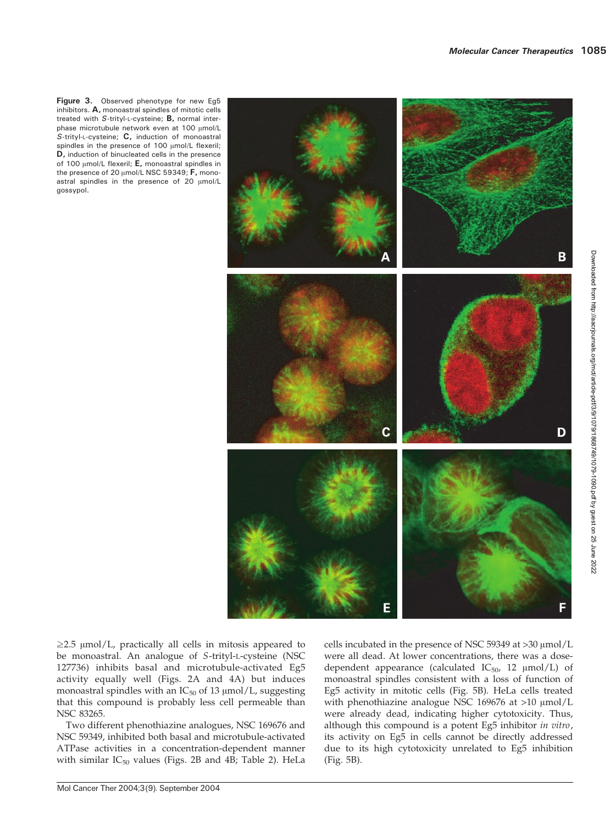Figure 3. Observed phenotype for new Eg5 inhibitors. A, monoastral spindles of mitotic cells treated with S-trityl-L-cysteine; B, normal interphase microtubule network even at 100  $\mu$ mol/L S-trityl-L-cysteine; C, induction of monoastral spindles in the presence of 100 µmol/L flexeril; D, induction of binucleated cells in the presence of 100  $\mu$ mol/L flexeril; E, monoastral spindles in the presence of 20  $\mu$ mol/L NSC 59349; F, monoastral spindles in the presence of 20  $\mu$ mol/L gossypol.



 $\geq$ 2.5  $\mu$ mol/L, practically all cells in mitosis appeared to be monoastral. An analogue of S-trityl-L-cysteine (NSC 127736) inhibits basal and microtubule-activated Eg5 activity equally well (Figs. 2A and 4A) but induces monoastral spindles with an  $IC_{50}$  of 13  $\mu$ mol/L, suggesting that this compound is probably less cell permeable than NSC 83265.

Two different phenothiazine analogues, NSC 169676 and NSC 59349, inhibited both basal and microtubule-activated ATPase activities in a concentration-dependent manner with similar  $IC_{50}$  values (Figs. 2B and 4B; Table 2). HeLa cells incubated in the presence of NSC 59349 at  $>$ 30  $\mu$ mol/L were all dead. At lower concentrations, there was a dosedependent appearance (calculated  $IC_{50}$ , 12  $\mu$ mol/L) of monoastral spindles consistent with a loss of function of Eg5 activity in mitotic cells (Fig. 5B). HeLa cells treated with phenothiazine analogue NSC 169676 at  $>10 \mu$ mol/L were already dead, indicating higher cytotoxicity. Thus, although this compound is a potent Eg5 inhibitor in vitro, its activity on Eg5 in cells cannot be directly addressed due to its high cytotoxicity unrelated to Eg5 inhibition (Fig. 5B).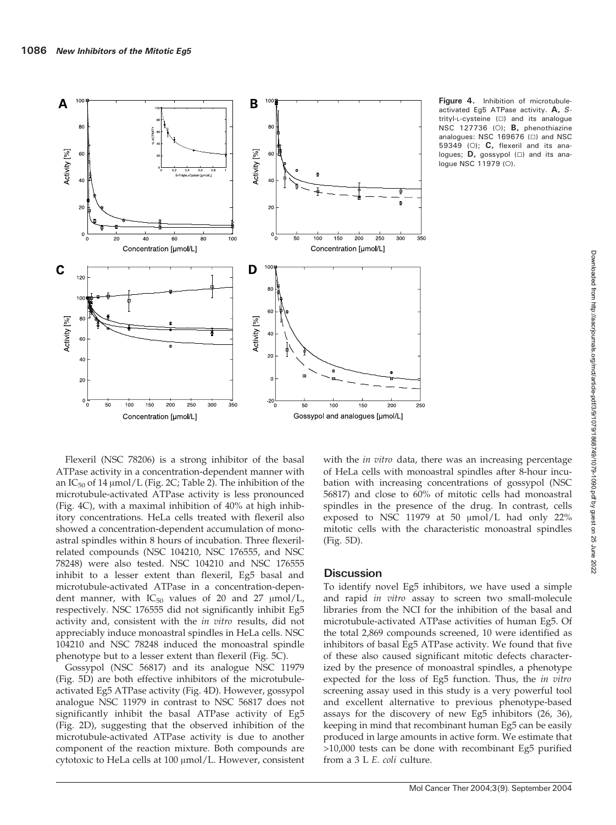

Figure 4. Inhibition of microtubuleactivated Eg5 ATPase activity. A, Strityl-L-cysteine ( $\Box$ ) and its analogue NSC 127736 (O);  $B$ , phenothiazine analogues: NSC 169676  $(\square)$  and NSC 59349 (O);  $C$ , flexeril and its analogues;  $D$ , gossypol ( $\square$ ) and its analogue NSC 11979 (O).

Flexeril (NSC 78206) is a strong inhibitor of the basal ATPase activity in a concentration-dependent manner with an  $IC_{50}$  of 14  $\mu$ mol/L (Fig. 2C; Table 2). The inhibition of the microtubule-activated ATPase activity is less pronounced (Fig. 4C), with a maximal inhibition of 40% at high inhibitory concentrations. HeLa cells treated with flexeril also showed a concentration-dependent accumulation of monoastral spindles within 8 hours of incubation. Three flexerilrelated compounds (NSC 104210, NSC 176555, and NSC 78248) were also tested. NSC 104210 and NSC 176555 inhibit to a lesser extent than flexeril, Eg5 basal and microtubule-activated ATPase in a concentration-dependent manner, with  $IC_{50}$  values of 20 and 27  $\mu$ mol/L, respectively. NSC 176555 did not significantly inhibit Eg5 activity and, consistent with the in vitro results, did not appreciably induce monoastral spindles in HeLa cells. NSC 104210 and NSC 78248 induced the monoastral spindle phenotype but to a lesser extent than flexeril (Fig. 5C).

Gossypol (NSC 56817) and its analogue NSC 11979 (Fig. 5D) are both effective inhibitors of the microtubuleactivated Eg5 ATPase activity (Fig. 4D). However, gossypol analogue NSC 11979 in contrast to NSC 56817 does not significantly inhibit the basal ATPase activity of Eg5 (Fig. 2D), suggesting that the observed inhibition of the microtubule-activated ATPase activity is due to another component of the reaction mixture. Both compounds are cytotoxic to HeLa cells at 100  $\mu$ mol/L. However, consistent

with the *in vitro* data, there was an increasing percentage of HeLa cells with monoastral spindles after 8-hour incubation with increasing concentrations of gossypol (NSC 56817) and close to 60% of mitotic cells had monoastral spindles in the presence of the drug. In contrast, cells exposed to NSC 11979 at 50  $\mu$ mol/L had only 22% mitotic cells with the characteristic monoastral spindles (Fig. 5D).

# **Discussion**

To identify novel Eg5 inhibitors, we have used a simple and rapid in vitro assay to screen two small-molecule libraries from the NCI for the inhibition of the basal and microtubule-activated ATPase activities of human Eg5. Of the total 2,869 compounds screened, 10 were identified as inhibitors of basal Eg5 ATPase activity. We found that five of these also caused significant mitotic defects characterized by the presence of monoastral spindles, a phenotype expected for the loss of Eg5 function. Thus, the in vitro screening assay used in this study is a very powerful tool and excellent alternative to previous phenotype-based assays for the discovery of new Eg5 inhibitors (26, 36), keeping in mind that recombinant human Eg5 can be easily produced in large amounts in active form. We estimate that >10,000 tests can be done with recombinant Eg5 purified from a 3 L E. coli culture.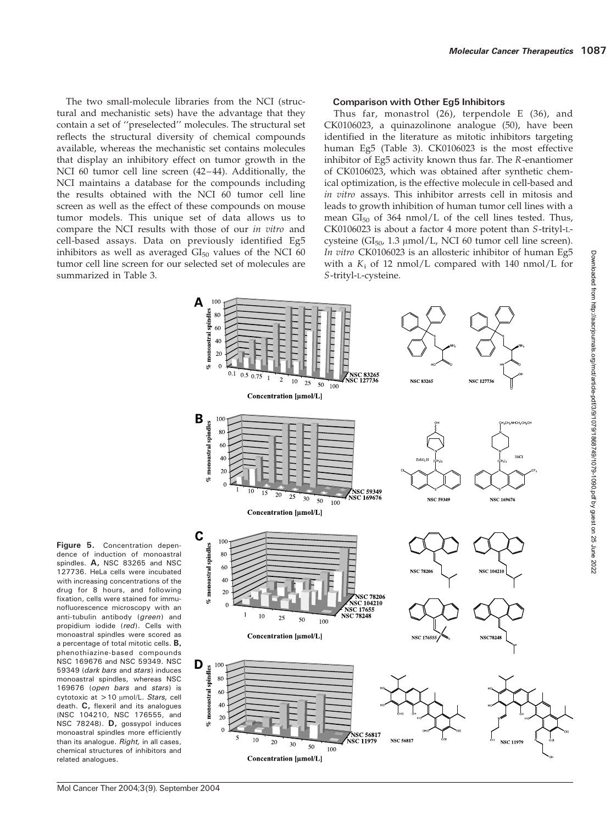The two small-molecule libraries from the NCI (structural and mechanistic sets) have the advantage that they contain a set of ''preselected'' molecules. The structural set reflects the structural diversity of chemical compounds available, whereas the mechanistic set contains molecules that display an inhibitory effect on tumor growth in the NCI 60 tumor cell line screen (42–44). Additionally, the NCI maintains a database for the compounds including the results obtained with the NCI 60 tumor cell line screen as well as the effect of these compounds on mouse tumor models. This unique set of data allows us to compare the NCI results with those of our in vitro and cell-based assays. Data on previously identified Eg5 inhibitors as well as averaged  $GI_{50}$  values of the NCI 60 tumor cell line screen for our selected set of molecules are summarized in Table 3.

## Comparison with Other Eg5 Inhibitors

Thus far, monastrol (26), terpendole E (36), and CK0106023, a quinazolinone analogue (50), have been identified in the literature as mitotic inhibitors targeting human Eg5 (Table 3). CK0106023 is the most effective inhibitor of Eg5 activity known thus far. The R-enantiomer of CK0106023, which was obtained after synthetic chemical optimization, is the effective molecule in cell-based and in vitro assays. This inhibitor arrests cell in mitosis and leads to growth inhibition of human tumor cell lines with a mean  $GI_{50}$  of 364 nmol/L of the cell lines tested. Thus, CK0106023 is about a factor 4 more potent than S-trityl-Lcysteine ( $GI_{50}$ , 1.3  $\mu$ mol/L, NCI 60 tumor cell line screen). In vitro CK0106023 is an allosteric inhibitor of human Eg5 with a  $K_i$  of 12 nmol/L compared with 140 nmol/L for S-trityl-L-cysteine.



Figure 5. Concentration dependence of induction of monoastral spindles. A, NSC 83265 and NSC 127736. HeLa cells were incubated with increasing concentrations of the drug for 8 hours, and following fixation, cells were stained for immunofluorescence microscopy with an anti-tubulin antibody (green) and propidium iodide (red). Cells with monoastral spindles were scored as a percentage of total mitotic cells. B, phenothiazine-based compounds NSC 169676 and NSC 59349. NSC 59349 (dark bars and stars) induces monoastral spindles, whereas NSC 169676 (open bars and stars) is cytotoxic at  $>10$   $\mu$ mol/L. Stars, cell death. C, flexeril and its analogues (NSC 104210, NSC 176555, and NSC 78248). **D**, gossypol induces monoastral spindles more efficiently than its analogue. Right, in all cases, chemical structures of inhibitors and related analogues.

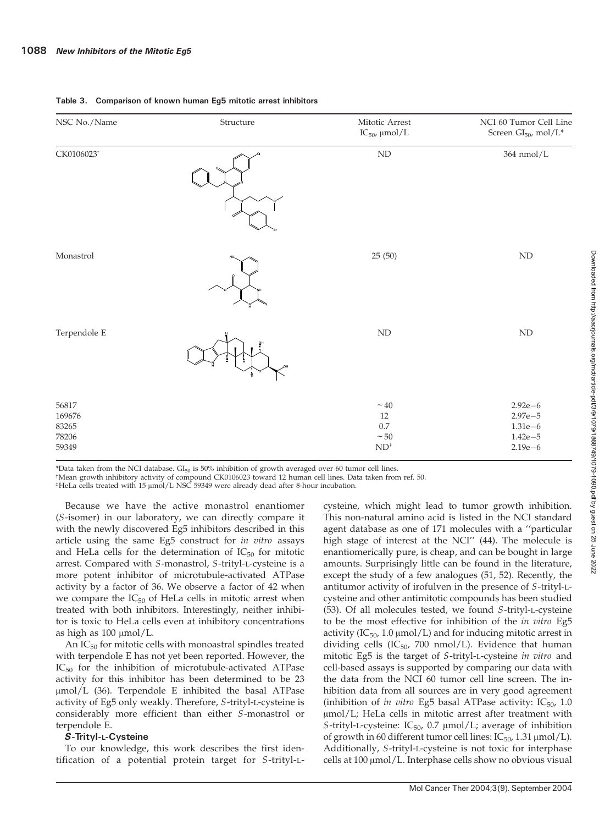| NSC No./Name                               | Structure | Mitotic Arrest<br>$IC_{50}$ , µmol/L                                                    | NCI 60 Tumor Cell Line<br>Screen $GI_{50}$ , mol/L*                   |
|--------------------------------------------|-----------|-----------------------------------------------------------------------------------------|-----------------------------------------------------------------------|
| CK0106023 <sup>t</sup>                     |           | $\mbox{ND}$                                                                             | $364$ nmol/L                                                          |
| Monastrol                                  |           | 25(50)                                                                                  | $\mbox{ND}$                                                           |
| Terpendole E                               | 휾         | $\mbox{ND}$                                                                             | $\mbox{ND}$                                                           |
| 56817<br>169676<br>83265<br>78206<br>59349 |           | $\sim 40$<br>$12\,$<br>$0.7\,$<br>$\sim\!50$<br>$\mathrm{ND}^{\scriptscriptstyle\ddag}$ | $2.92e - 6$<br>$2.97e - 5$<br>$1.31e-6$<br>$1.42e - 5$<br>$2.19e - 6$ |

#### Table 3. Comparison of known human Eg5 mitotic arrest inhibitors

\*Data taken from the NCI database.  $GI_{50}$  is 50% inhibition of growth averaged over 60 tumor cell lines.

\*Mean growth inhibitory activity of compound CK0106023 toward 12 human cell lines. Data taken from ref. 50.

<sup>‡</sup>HeLa cells treated with 15 µmol/L NSC 59349 were already dead after 8-hour incubation.

Because we have the active monastrol enantiomer (S-isomer) in our laboratory, we can directly compare it with the newly discovered Eg5 inhibitors described in this article using the same Eg5 construct for in vitro assays and HeLa cells for the determination of  $IC_{50}$  for mitotic arrest. Compared with S-monastrol, S-trityl-L-cysteine is a more potent inhibitor of microtubule-activated ATPase activity by a factor of 36. We observe a factor of 42 when we compare the  $IC_{50}$  of HeLa cells in mitotic arrest when treated with both inhibitors. Interestingly, neither inhibitor is toxic to HeLa cells even at inhibitory concentrations as high as  $100 \mu \text{mol/L}$ .

An  $IC_{50}$  for mitotic cells with monoastral spindles treated with terpendole E has not yet been reported. However, the  $IC_{50}$  for the inhibition of microtubule-activated ATPase activity for this inhibitor has been determined to be 23  $\mu$ mol/L (36). Terpendole E inhibited the basal ATPase activity of Eg5 only weakly. Therefore, S-trityl-L-cysteine is considerably more efficient than either S-monastrol or terpendole E.

#### S-Trityl-L-Cysteine

To our knowledge, this work describes the first identification of a potential protein target for S-trityl-L-

cysteine, which might lead to tumor growth inhibition. This non-natural amino acid is listed in the NCI standard agent database as one of 171 molecules with a ''particular high stage of interest at the NCI'' (44). The molecule is enantiomerically pure, is cheap, and can be bought in large amounts. Surprisingly little can be found in the literature, except the study of a few analogues (51, 52). Recently, the antitumor activity of irofulven in the presence of S-trityl-Lcysteine and other antimitotic compounds has been studied (53). Of all molecules tested, we found S-trityl-L-cysteine to be the most effective for inhibition of the in vitro Eg5 activity ( $IC_{50}$ , 1.0  $\mu$ mol/L) and for inducing mitotic arrest in dividing cells (IC $_{50}$ , 700 nmol/L). Evidence that human mitotic Eg5 is the target of S-trityl-L-cysteine in vitro and cell-based assays is supported by comparing our data with the data from the NCI 60 tumor cell line screen. The inhibition data from all sources are in very good agreement (inhibition of in vitro Eg5 basal ATPase activity:  $IC_{50}$ , 1.0  $\mu$ mol/L; HeLa cells in mitotic arrest after treatment with S-trityl-L-cysteine:  $IC_{50}$ , 0.7  $\mu$ mol/L; average of inhibition of growth in 60 different tumor cell lines:  $IC_{50}$ , 1.31  $\mu$ mol/L). Additionally, S-trityl-L-cysteine is not toxic for interphase cells at  $100 \mu \text{mol/L}$ . Interphase cells show no obvious visual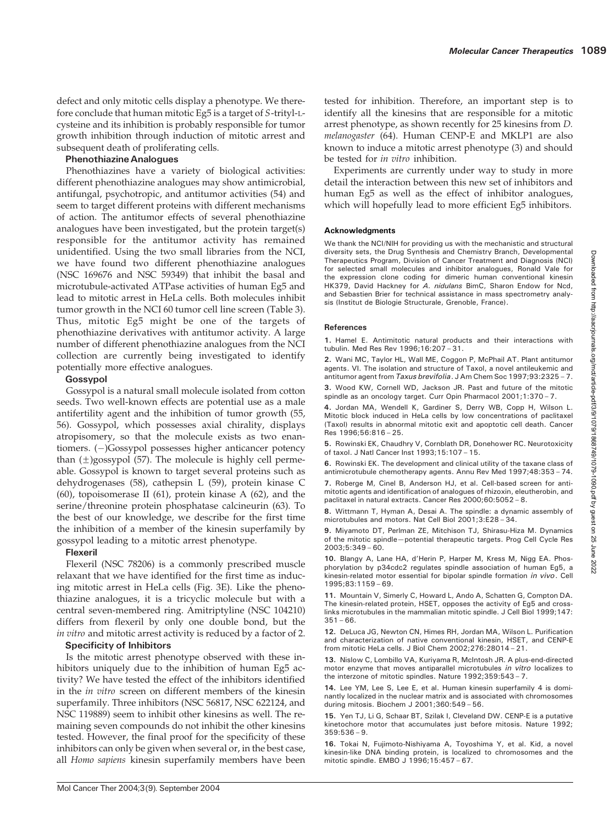defect and only mitotic cells display a phenotype. We therefore conclude that human mitotic Eg5 is a target of S-trityl-Lcysteine and its inhibition is probably responsible for tumor growth inhibition through induction of mitotic arrest and subsequent death of proliferating cells.

## Phenothiazine Analogues

Phenothiazines have a variety of biological activities: different phenothiazine analogues may show antimicrobial, antifungal, psychotropic, and antitumor activities (54) and seem to target different proteins with different mechanisms of action. The antitumor effects of several phenothiazine analogues have been investigated, but the protein target(s) responsible for the antitumor activity has remained unidentified. Using the two small libraries from the NCI, we have found two different phenothiazine analogues (NSC 169676 and NSC 59349) that inhibit the basal and microtubule-activated ATPase activities of human Eg5 and lead to mitotic arrest in HeLa cells. Both molecules inhibit tumor growth in the NCI 60 tumor cell line screen (Table 3). Thus, mitotic Eg5 might be one of the targets of phenothiazine derivatives with antitumor activity. A large number of different phenothiazine analogues from the NCI collection are currently being investigated to identify potentially more effective analogues.

# Gossypol

Gossypol is a natural small molecule isolated from cotton seeds. Two well-known effects are potential use as a male antifertility agent and the inhibition of tumor growth (55, 56). Gossypol, which possesses axial chirality, displays atropisomery, so that the molecule exists as two enantiomers. (-)Gossypol possesses higher anticancer potency than  $(\pm)$ gossypol (57). The molecule is highly cell permeable. Gossypol is known to target several proteins such as dehydrogenases (58), cathepsin L (59), protein kinase C (60), topoisomerase II (61), protein kinase A (62), and the serine/threonine protein phosphatase calcineurin (63). To the best of our knowledge, we describe for the first time the inhibition of a member of the kinesin superfamily by gossypol leading to a mitotic arrest phenotype.

# Flexeril

Flexeril (NSC 78206) is a commonly prescribed muscle relaxant that we have identified for the first time as inducing mitotic arrest in HeLa cells (Fig. 3E). Like the phenothiazine analogues, it is a tricyclic molecule but with a central seven-membered ring. Amitriptyline (NSC 104210) differs from flexeril by only one double bond, but the in vitro and mitotic arrest activity is reduced by a factor of 2.

#### Specificity of Inhibitors

Is the mitotic arrest phenotype observed with these inhibitors uniquely due to the inhibition of human Eg5 activity? We have tested the effect of the inhibitors identified in the in vitro screen on different members of the kinesin superfamily. Three inhibitors (NSC 56817, NSC 622124, and NSC 119889) seem to inhibit other kinesins as well. The remaining seven compounds do not inhibit the other kinesins tested. However, the final proof for the specificity of these inhibitors can only be given when several or, in the best case, all Homo sapiens kinesin superfamily members have been tested for inhibition. Therefore, an important step is to identify all the kinesins that are responsible for a mitotic arrest phenotype, as shown recently for 25 kinesins from D. melanogaster (64). Human CENP-E and MKLP1 are also known to induce a mitotic arrest phenotype (3) and should be tested for in vitro inhibition.

Experiments are currently under way to study in more detail the interaction between this new set of inhibitors and human Eg5 as well as the effect of inhibitor analogues, which will hopefully lead to more efficient Eg5 inhibitors.

## Acknowledgments

We thank the NCI/NIH for providing us with the mechanistic and structural diversity sets, the Drug Synthesis and Chemistry Branch, Developmental Therapeutics Program, Division of Cancer Treatment and Diagnosis (NCI) for selected small molecules and inhibitor analogues, Ronald Vale for the expression clone coding for dimeric human conventional kinesin HK379, David Hackney for A. nidulans BimC, Sharon Endow for Ncd, and Sebastien Brier for technical assistance in mass spectrometry analysis (Institut de Biologie Structurale, Grenoble, France).

#### **References**

1. Hamel E. Antimitotic natural products and their interactions with tubulin. Med Res Rev 1996;16:207 – 31.

2. Wani MC, Taylor HL, Wall ME, Coggon P, McPhail AT. Plant antitumor agents. VI. The isolation and structure of Taxol, a novel antileukemic and antitumor agent from Taxus brevifolia. J Am Chem Soc 1997;93:2325-7.

3. Wood KW, Cornell WD, Jackson JR. Past and future of the mitotic spindle as an oncology target. Curr Opin Pharmacol 2001;1:370 – 7.

4. Jordan MA, Wendell K, Gardiner S, Derry WB, Copp H, Wilson L. Mitotic block induced in HeLa cells by low concentrations of paclitaxel (Taxol) results in abnormal mitotic exit and apoptotic cell death. Cancer Res 1996;56:816 – 25.

5. Rowinski EK, Chaudhry V, Cornblath DR, Donehower RC. Neurotoxicity of taxol. J Natl Cancer Inst 1993;15:107 – 15.

6. Rowinski EK. The development and clinical utility of the taxane class of antimicrotubule chemotherapy agents. Annu Rev Med 1997;48:353 – 74.

7. Roberge M, Cinel B, Anderson HJ, et al. Cell-based screen for antimitotic agents and identification of analogues of rhizoxin, eleutherobin, and paclitaxel in natural extracts. Cancer Res 2000;60:5052 – 8.

8. Wittmann T, Hyman A, Desai A. The spindle: a dynamic assembly of microtubules and motors. Nat Cell Biol 2001;3:E28 – 34.

9. Miyamoto DT, Perlman ZE, Mitchison TJ, Shirasu-Hiza M. Dynamics of the mitotic spindle—potential therapeutic targets. Prog Cell Cycle Res 2003;5:349 – 60.

10. Blangy A, Lane HA, d'Herin P, Harper M, Kress M, Nigg EA. Phosphorylation by p34cdc2 regulates spindle association of human Eg5, a kinesin-related motor essential for bipolar spindle formation in vivo. Cell 1995;83:1159 – 69.

11. Mountain V, Simerly C, Howard L, Ando A, Schatten G, Compton DA. The kinesin-related protein, HSET, opposes the activity of Eg5 and crosslinks microtubules in the mammalian mitotic spindle. J Cell Biol 1999;147:  $351 - 66.$ 

12. DeLuca JG, Newton CN, Himes RH, Jordan MA, Wilson L. Purification and characterization of native conventional kinesin, HSET, and CENP-E from mitotic HeLa cells. J Biol Chem 2002;276:28014 – 21.

13. Nislow C, Lombillo VA, Kuriyama R, McIntosh JR. A plus-end-directed motor enzyme that moves antiparallel microtubules in vitro localizes to the interzone of mitotic spindles. Nature 1992;359:543 – 7.

14. Lee YM, Lee S, Lee E, et al. Human kinesin superfamily 4 is dominantly localized in the nuclear matrix and is associated with chromosomes during mitosis. Biochem J 2001;360:549 – 56.

15. Yen TJ, Li G, Schaar BT, Szilak I, Cleveland DW. CENP-E is a putative kinetochore motor that accumulates just before mitosis. Nature 1992; 359:536 – 9.

16. Tokai N, Fujimoto-Nishiyama A, Toyoshima Y, et al. Kid, a novel kinesin-like DNA binding protein, is localized to chromosomes and the mitotic spindle. EMBO J 1996;15:457 – 67.